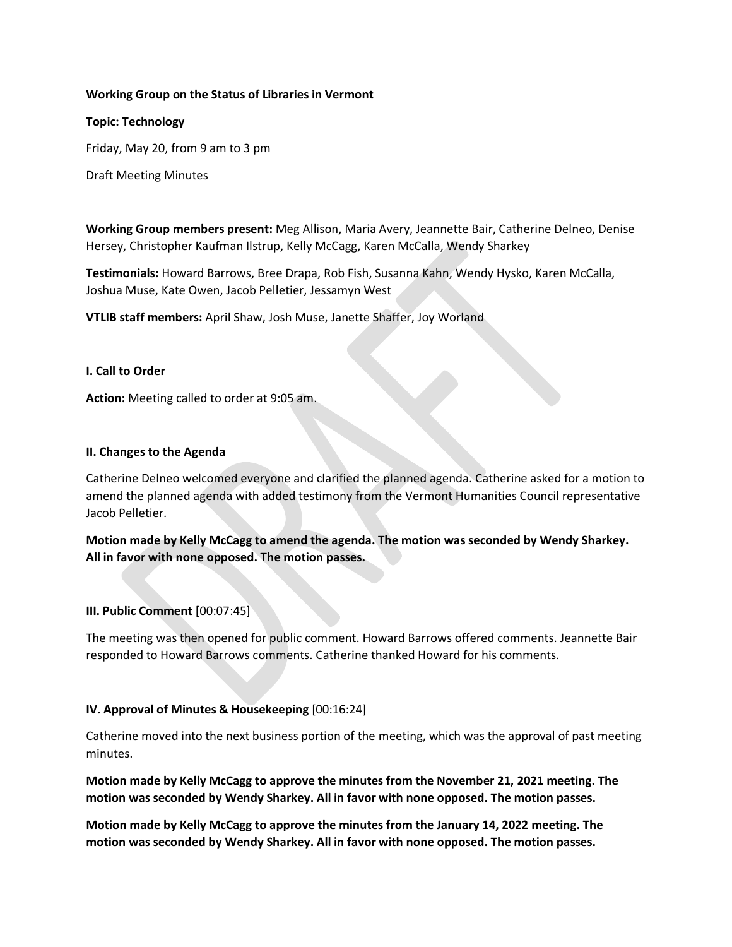## **Working Group on the Status of Libraries in Vermont**

### **Topic: Technology**

Friday, May 20, from 9 am to 3 pm

Draft Meeting Minutes

**Working Group members present:** Meg Allison, Maria Avery, Jeannette Bair, Catherine Delneo, Denise Hersey, Christopher Kaufman Ilstrup, Kelly McCagg, Karen McCalla, Wendy Sharkey

**Testimonials:** Howard Barrows, Bree Drapa, Rob Fish, Susanna Kahn, Wendy Hysko, Karen McCalla, Joshua Muse, Kate Owen, Jacob Pelletier, Jessamyn West

**VTLIB staff members:** April Shaw, Josh Muse, Janette Shaffer, Joy Worland

## **I. Call to Order**

**Action:** Meeting called to order at 9:05 am.

## **II. Changes to the Agenda**

Catherine Delneo welcomed everyone and clarified the planned agenda. Catherine asked for a motion to amend the planned agenda with added testimony from the Vermont Humanities Council representative Jacob Pelletier.

**Motion made by Kelly McCagg to amend the agenda. The motion was seconded by Wendy Sharkey. All in favor with none opposed. The motion passes.**

### **III. Public Comment** [00:07:45]

The meeting was then opened for public comment. Howard Barrows offered comments. Jeannette Bair responded to Howard Barrows comments. Catherine thanked Howard for his comments.

### **IV. Approval of Minutes & Housekeeping** [00:16:24]

Catherine moved into the next business portion of the meeting, which was the approval of past meeting minutes.

**Motion made by Kelly McCagg to approve the minutes from the November 21, 2021 meeting. The motion was seconded by Wendy Sharkey. All in favor with none opposed. The motion passes.**

**Motion made by Kelly McCagg to approve the minutes from the January 14, 2022 meeting. The motion was seconded by Wendy Sharkey. All in favor with none opposed. The motion passes.**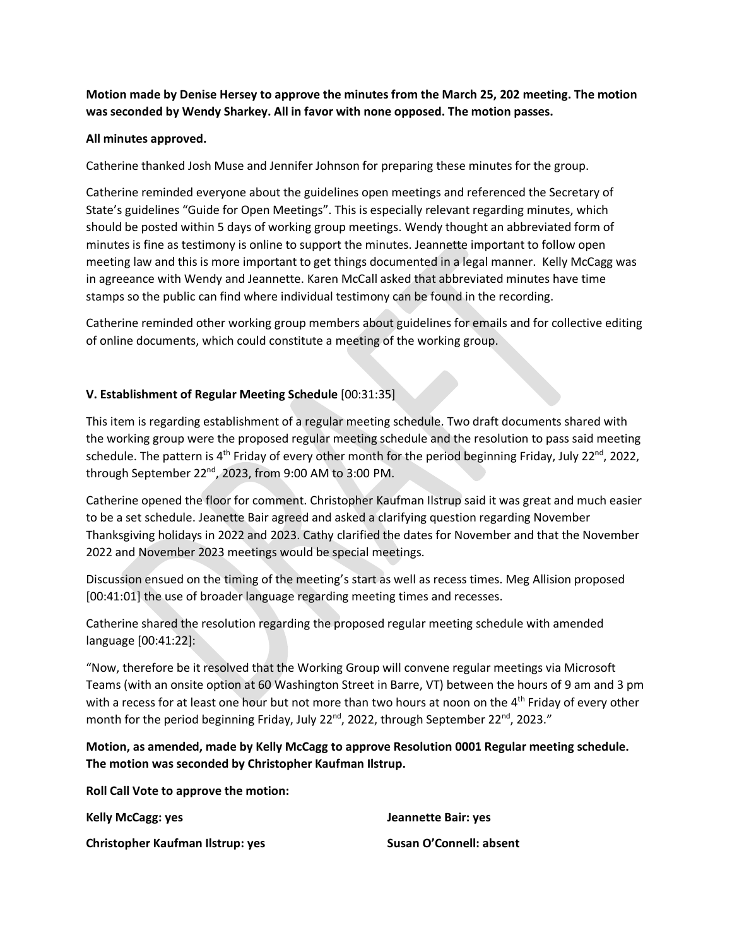# **Motion made by Denise Hersey to approve the minutes from the March 25, 202 meeting. The motion was seconded by Wendy Sharkey. All in favor with none opposed. The motion passes.**

# **All minutes approved.**

Catherine thanked Josh Muse and Jennifer Johnson for preparing these minutes for the group.

Catherine reminded everyone about the guidelines open meetings and referenced the Secretary of State's guidelines "Guide for Open Meetings". This is especially relevant regarding minutes, which should be posted within 5 days of working group meetings. Wendy thought an abbreviated form of minutes is fine as testimony is online to support the minutes. Jeannette important to follow open meeting law and this is more important to get things documented in a legal manner. Kelly McCagg was in agreeance with Wendy and Jeannette. Karen McCall asked that abbreviated minutes have time stamps so the public can find where individual testimony can be found in the recording.

Catherine reminded other working group members about guidelines for emails and for collective editing of online documents, which could constitute a meeting of the working group.

# **V. Establishment of Regular Meeting Schedule** [00:31:35]

This item is regarding establishment of a regular meeting schedule. Two draft documents shared with the working group were the proposed regular meeting schedule and the resolution to pass said meeting schedule. The pattern is 4<sup>th</sup> Friday of every other month for the period beginning Friday, July 22<sup>nd</sup>, 2022, through September 22<sup>nd</sup>, 2023, from 9:00 AM to 3:00 PM.

Catherine opened the floor for comment. Christopher Kaufman Ilstrup said it was great and much easier to be a set schedule. Jeanette Bair agreed and asked a clarifying question regarding November Thanksgiving holidays in 2022 and 2023. Cathy clarified the dates for November and that the November 2022 and November 2023 meetings would be special meetings.

Discussion ensued on the timing of the meeting's start as well as recess times. Meg Allision proposed [00:41:01] the use of broader language regarding meeting times and recesses.

Catherine shared the resolution regarding the proposed regular meeting schedule with amended language [00:41:22]:

"Now, therefore be it resolved that the Working Group will convene regular meetings via Microsoft Teams (with an onsite option at 60 Washington Street in Barre, VT) between the hours of 9 am and 3 pm with a recess for at least one hour but not more than two hours at noon on the 4<sup>th</sup> Friday of every other month for the period beginning Friday, July 22<sup>nd</sup>, 2022, through September 22<sup>nd</sup>, 2023."

# **Motion, as amended, made by Kelly McCagg to approve Resolution 0001 Regular meeting schedule. The motion was seconded by Christopher Kaufman Ilstrup.**

**Roll Call Vote to approve the motion:**

**Kelly McCagg: yes**

**Christopher Kaufman Ilstrup: yes**

**Jeannette Bair: yes Susan O'Connell: absent**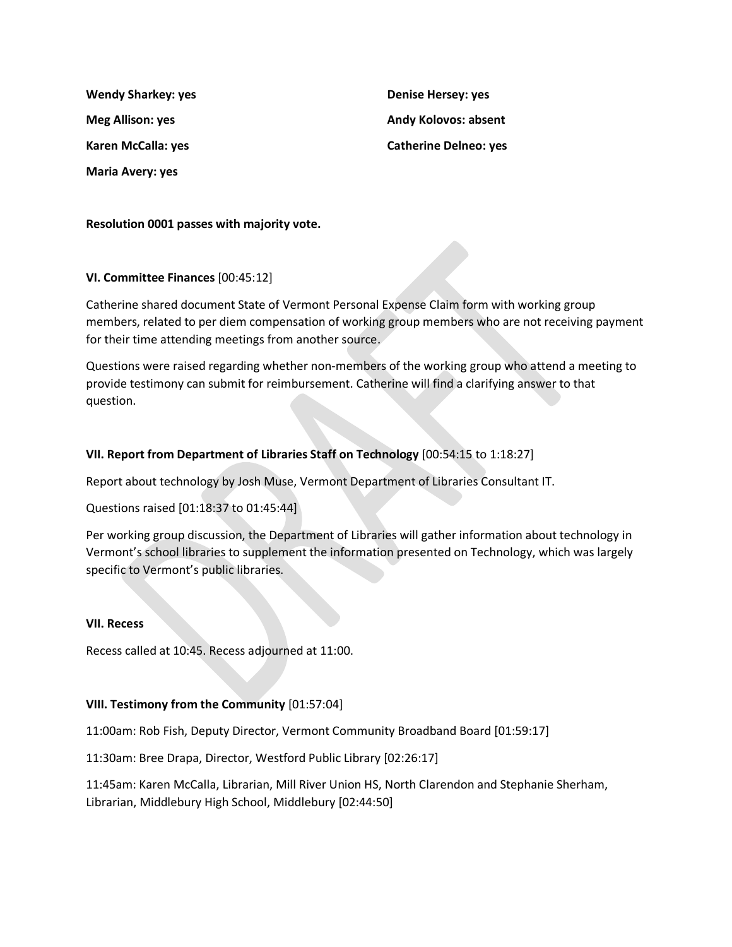**Wendy Sharkey: yes Meg Allison: yes Karen McCalla: yes Maria Avery: yes**

**Denise Hersey: yes Andy Kolovos: absent Catherine Delneo: yes**

**Resolution 0001 passes with majority vote.** 

## **VI. Committee Finances** [00:45:12]

Catherine shared document State of Vermont Personal Expense Claim form with working group members, related to per diem compensation of working group members who are not receiving payment for their time attending meetings from another source.

Questions were raised regarding whether non-members of the working group who attend a meeting to provide testimony can submit for reimbursement. Catherine will find a clarifying answer to that question.

## **VII. Report from Department of Libraries Staff on Technology** [00:54:15 to 1:18:27]

Report about technology by Josh Muse, Vermont Department of Libraries Consultant IT.

Questions raised [01:18:37 to 01:45:44]

Per working group discussion, the Department of Libraries will gather information about technology in Vermont's school libraries to supplement the information presented on Technology, which was largely specific to Vermont's public libraries.

### **VII. Recess**

Recess called at 10:45. Recess adjourned at 11:00.

### **VIII. Testimony from the Community** [01:57:04]

11:00am: Rob Fish, Deputy Director, Vermont Community Broadband Board [01:59:17]

11:30am: Bree Drapa, Director, Westford Public Library [02:26:17]

11:45am: Karen McCalla, Librarian, Mill River Union HS, North Clarendon and Stephanie Sherham, Librarian, Middlebury High School, Middlebury [02:44:50]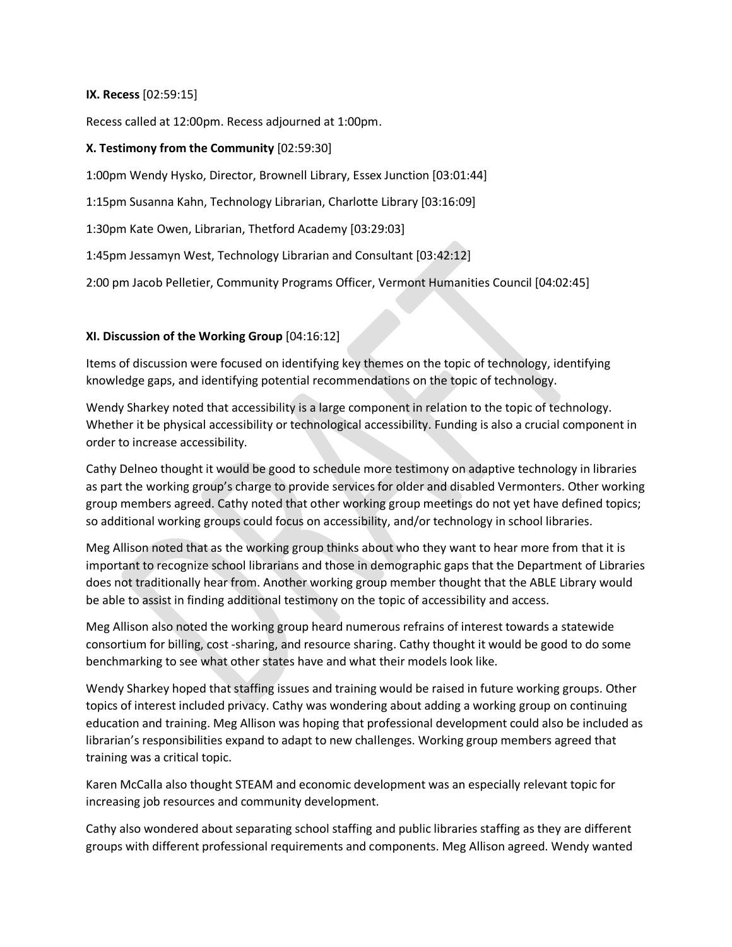## **IX. Recess** [02:59:15]

Recess called at 12:00pm. Recess adjourned at 1:00pm.

## **X. Testimony from the Community** [02:59:30]

1:00pm Wendy Hysko, Director, Brownell Library, Essex Junction [03:01:44]

1:15pm Susanna Kahn, Technology Librarian, Charlotte Library [03:16:09]

1:30pm Kate Owen, Librarian, Thetford Academy [03:29:03]

1:45pm Jessamyn West, Technology Librarian and Consultant [03:42:12]

2:00 pm Jacob Pelletier, Community Programs Officer, Vermont Humanities Council [04:02:45]

## **XI. Discussion of the Working Group** [04:16:12]

Items of discussion were focused on identifying key themes on the topic of technology, identifying knowledge gaps, and identifying potential recommendations on the topic of technology.

Wendy Sharkey noted that accessibility is a large component in relation to the topic of technology. Whether it be physical accessibility or technological accessibility. Funding is also a crucial component in order to increase accessibility.

Cathy Delneo thought it would be good to schedule more testimony on adaptive technology in libraries as part the working group's charge to provide services for older and disabled Vermonters. Other working group members agreed. Cathy noted that other working group meetings do not yet have defined topics; so additional working groups could focus on accessibility, and/or technology in school libraries.

Meg Allison noted that as the working group thinks about who they want to hear more from that it is important to recognize school librarians and those in demographic gaps that the Department of Libraries does not traditionally hear from. Another working group member thought that the ABLE Library would be able to assist in finding additional testimony on the topic of accessibility and access.

Meg Allison also noted the working group heard numerous refrains of interest towards a statewide consortium for billing, cost -sharing, and resource sharing. Cathy thought it would be good to do some benchmarking to see what other states have and what their models look like.

Wendy Sharkey hoped that staffing issues and training would be raised in future working groups. Other topics of interest included privacy. Cathy was wondering about adding a working group on continuing education and training. Meg Allison was hoping that professional development could also be included as librarian's responsibilities expand to adapt to new challenges. Working group members agreed that training was a critical topic.

Karen McCalla also thought STEAM and economic development was an especially relevant topic for increasing job resources and community development.

Cathy also wondered about separating school staffing and public libraries staffing as they are different groups with different professional requirements and components. Meg Allison agreed. Wendy wanted